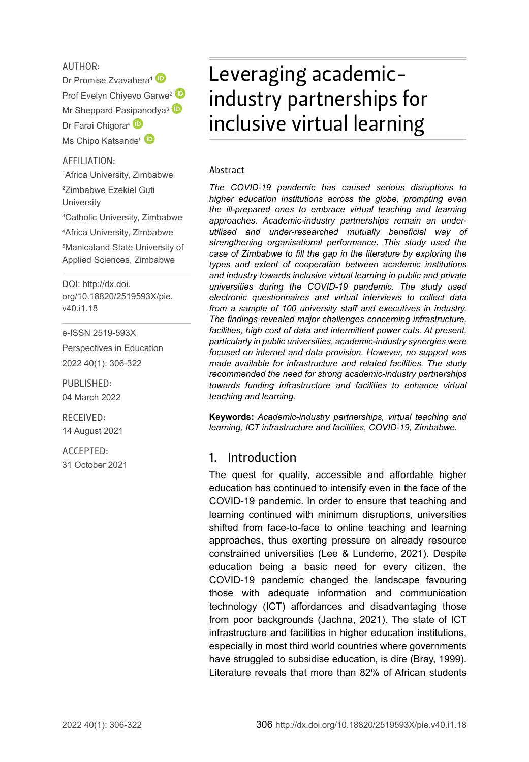#### AUTHOR:

Dr Promise Zvavahera<sup>1</sup> Prof Ev[e](http://orcid.org/0000-0002-9009-1297)lyn Chivevo Garwe<sup>[2](http://orcid.org/0000-0002-6111-8622)</sup> Mr Sheppard Pas[ipan](http://orcid.org/0000-0002-8932-3601)odya<sup>3</sup> Dr Farai Chigora<sup>4</sup> Ms Chipo Katsande<sup>[5](http://orcid.org/0000-0003-2553-8379)</sup>

#### AFFILIATION:

 Africa University, Zimbabwe Zimbabwe Ezekiel Guti **University**  Catholic University, Zimbabwe Africa University, Zimbabwe Manicaland State University of Applied Sciences, Zimbabwe

DOI: [http://dx.doi.](http://dx.doi.org/10.18820/2519593X/pie.v40.i1.18) [org/10.18820/2519593X/p](http://dx.doi.org/10.18820/2519593X/pie.v40.i1.18)ie. v40.i1.18

e-ISSN 2519-593X

Perspectives in Education 2022 40(1): 306-322

PUBLISHED: 04 March 2022

RECEIVED: 14 August 2021

ACCEPTED: 31 October 2021

# Leveraging academicindustry partnerships for inclusive virtual learning

#### Abstract

*The COVID-19 pandemic has caused serious disruptions to higher education institutions across the globe, prompting even the ill-prepared ones to embrace virtual teaching and learning approaches. Academic-industry partnerships remain an underutilised and under-researched mutually beneficial way of strengthening organisational performance. This study used the case of Zimbabwe to fill the gap in the literature by exploring the types and extent of cooperation between academic institutions and industry towards inclusive virtual learning in public and private universities during the COVID-19 pandemic. The study used electronic questionnaires and virtual interviews to collect data from a sample of 100 university staff and executives in industry. The findings revealed major challenges concerning infrastructure, facilities, high cost of data and intermittent power cuts. At present, particularly in public universities, academic-industry synergies were focused on internet and data provision. However, no support was made available for infrastructure and related facilities. The study recommended the need for strong academic-industry partnerships towards funding infrastructure and facilities to enhance virtual teaching and learning.* 

**Keywords:** *Academic-industry partnerships, virtual teaching and learning, ICT infrastructure and facilities, COVID-19, Zimbabwe.* 

#### 1. Introduction

The quest for quality, accessible and affordable higher education has continued to intensify even in the face of the COVID-19 pandemic. In order to ensure that teaching and learning continued with minimum disruptions, universities shifted from face-to-face to online teaching and learning approaches, thus exerting pressure on already resource constrained universities (Lee & Lundemo, 2021). Despite education being a basic need for every citizen, the COVID-19 pandemic changed the landscape favouring those with adequate information and communication technology (ICT) affordances and disadvantaging those from poor backgrounds (Jachna, 2021). The state of ICT infrastructure and facilities in higher education institutions, especially in most third world countries where governments have struggled to subsidise education, is dire (Bray, 1999). Literature reveals that more than 82% of African students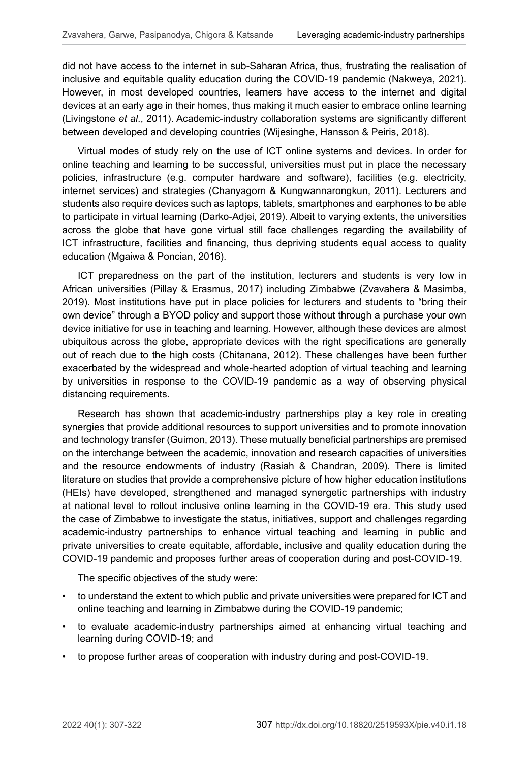did not have access to the internet in sub-Saharan Africa, thus, frustrating the realisation of inclusive and equitable quality education during the COVID-19 pandemic (Nakweya, 2021). However, in most developed countries, learners have access to the internet and digital devices at an early age in their homes, thus making it much easier to embrace online learning (Livingstone *et al*., 2011). Academic-industry collaboration systems are significantly different between developed and developing countries (Wijesinghe, Hansson & Peiris, 2018).

Virtual modes of study rely on the use of ICT online systems and devices. In order for online teaching and learning to be successful, universities must put in place the necessary policies, infrastructure (e.g. computer hardware and software), facilities (e.g. electricity, internet services) and strategies (Chanyagorn & Kungwannarongkun, 2011). Lecturers and students also require devices such as laptops, tablets, smartphones and earphones to be able to participate in virtual learning (Darko-Adjei, 2019). Albeit to varying extents, the universities across the globe that have gone virtual still face challenges regarding the availability of ICT infrastructure, facilities and financing, thus depriving students equal access to quality education (Mgaiwa & Poncian, 2016).

ICT preparedness on the part of the institution, lecturers and students is very low in African universities (Pillay & Erasmus, 2017) including Zimbabwe (Zvavahera & Masimba, 2019). Most institutions have put in place policies for lecturers and students to "bring their own device" through a BYOD policy and support those without through a purchase your own device initiative for use in teaching and learning. However, although these devices are almost ubiquitous across the globe, appropriate devices with the right specifications are generally out of reach due to the high costs (Chitanana, 2012). These challenges have been further exacerbated by the widespread and whole-hearted adoption of virtual teaching and learning by universities in response to the COVID-19 pandemic as a way of observing physical distancing requirements.

Research has shown that academic-industry partnerships play a key role in creating synergies that provide additional resources to support universities and to promote innovation and technology transfer (Guimon, 2013). These mutually beneficial partnerships are premised on the interchange between the academic, innovation and research capacities of universities and the resource endowments of industry (Rasiah & Chandran, 2009). There is limited literature on studies that provide a comprehensive picture of how higher education institutions (HEIs) have developed, strengthened and managed synergetic partnerships with industry at national level to rollout inclusive online learning in the COVID-19 era. This study used the case of Zimbabwe to investigate the status, initiatives, support and challenges regarding academic-industry partnerships to enhance virtual teaching and learning in public and private universities to create equitable, affordable, inclusive and quality education during the COVID-19 pandemic and proposes further areas of cooperation during and post-COVID-19.

The specific objectives of the study were:

- to understand the extent to which public and private universities were prepared for ICT and online teaching and learning in Zimbabwe during the COVID-19 pandemic;
- to evaluate academic-industry partnerships aimed at enhancing virtual teaching and learning during COVID-19; and
- to propose further areas of cooperation with industry during and post-COVID-19.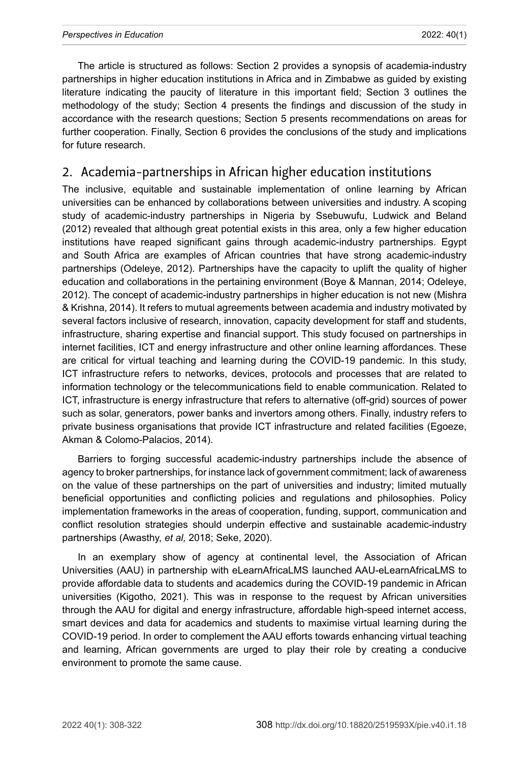The article is structured as follows: Section 2 provides a synopsis of academia-industry partnerships in higher education institutions in Africa and in Zimbabwe as guided by existing literature indicating the paucity of literature in this important field; Section 3 outlines the methodology of the study; Section 4 presents the findings and discussion of the study in accordance with the research questions; Section 5 presents recommendations on areas for further cooperation. Finally, Section 6 provides the conclusions of the study and implications for future research.

## 2. Academia-partnerships in African higher education institutions

The inclusive, equitable and sustainable implementation of online learning by African universities can be enhanced by collaborations between universities and industry. A scoping study of academic-industry partnerships in Nigeria by Ssebuwufu, Ludwick and Beland (2012) revealed that although great potential exists in this area, only a few higher education institutions have reaped significant gains through academic-industry partnerships. Egypt and South Africa are examples of African countries that have strong academic-industry partnerships (Odeleye, 2012). Partnerships have the capacity to uplift the quality of higher education and collaborations in the pertaining environment (Boye & Mannan, 2014; Odeleye, 2012). The concept of academic-industry partnerships in higher education is not new (Mishra & Krishna, 2014). It refers to mutual agreements between academia and industry motivated by several factors inclusive of research, innovation, capacity development for staff and students, infrastructure, sharing expertise and financial support. This study focused on partnerships in internet facilities, ICT and energy infrastructure and other online learning affordances. These are critical for virtual teaching and learning during the COVID-19 pandemic. In this study, ICT infrastructure refers to networks, devices, protocols and processes that are related to information technology or the telecommunications field to enable communication. Related to ICT, infrastructure is energy infrastructure that refers to alternative (off-grid) sources of power such as solar, generators, power banks and invertors among others. Finally, industry refers to private business organisations that provide ICT infrastructure and related facilities (Egoeze, Akman & Colomo-Palacios, 2014).

Barriers to forging successful academic-industry partnerships include the absence of agency to broker partnerships, for instance lack of government commitment; lack of awareness on the value of these partnerships on the part of universities and industry; limited mutually beneficial opportunities and conflicting policies and regulations and philosophies. Policy implementation frameworks in the areas of cooperation, funding, support, communication and conflict resolution strategies should underpin effective and sustainable academic-industry partnerships (Awasthy, *et al,* 2018; Seke, 2020).

In an exemplary show of agency at continental level, the Association of African Universities (AAU) in partnership with [eLearnAfricaLMS](https://www.elearnafricalms.com/) launched [AAU-eLearnAfricaLMS](https://www.elearnafricalms.com/) to provide affordable data to students and academics during the COVID-19 pandemic in African universities [\(Kigotho,](https://www.universityworldnews.com/fullsearch.php?mode=search&writer=Wachira+Kigotho) 2021). This was in response to the request by African universities through the AAU for digital and energy infrastructure, affordable high-speed internet access, smart devices and data for academics and students to maximise virtual learning during the COVID-19 period. In order to complement the AAU efforts towards enhancing virtual teaching and learning, African governments are urged to play their role by creating a conducive environment to promote the same cause.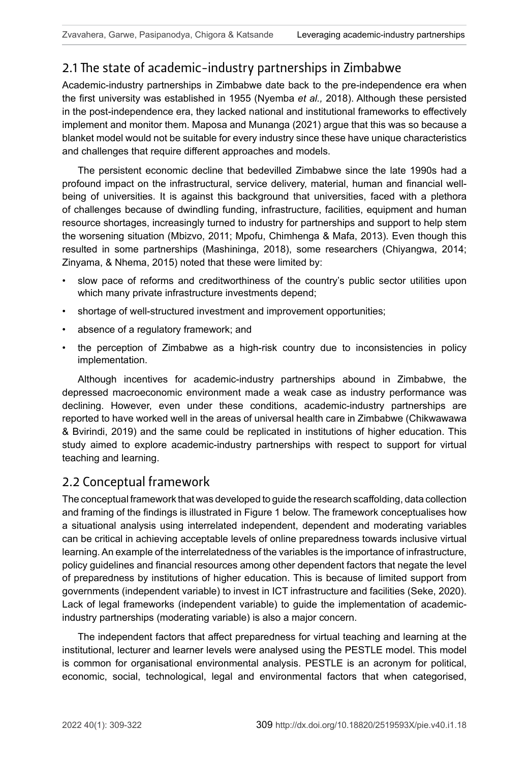# 2.1 The state of academic-industry partnerships in Zimbabwe

Academic-industry partnerships in Zimbabwe date back to the pre-independence era when the first university was established in 1955 (Nyemba *et al.,* 2018). Although these persisted in the post-independence era, they lacked national and institutional frameworks to effectively implement and monitor them. Maposa and Munanga (2021) argue that this was so because a blanket model would not be suitable for every industry since these have unique characteristics and challenges that require different approaches and models.

The persistent economic decline that bedevilled Zimbabwe since the late 1990s had a profound impact on the infrastructural, service delivery, material, human and financial wellbeing of universities. It is against this background that universities, faced with a plethora of challenges because of dwindling funding, infrastructure, facilities, equipment and human resource shortages, increasingly turned to industry for partnerships and support to help stem the worsening situation (Mbizvo, 2011; Mpofu, Chimhenga & Mafa, 2013). Even though this resulted in some partnerships (Mashininga, 2018), some researchers (Chiyangwa, 2014; Zinyama, & Nhema, 2015) noted that these were limited by:

- slow pace of reforms and creditworthiness of the country's public sector utilities upon which many private infrastructure investments depend;
- shortage of well-structured investment and improvement opportunities;
- absence of a regulatory framework; and
- the perception of Zimbabwe as a high-risk country due to inconsistencies in policy implementation.

Although incentives for academic-industry partnerships abound in Zimbabwe, the depressed macroeconomic environment made a weak case as industry performance was declining. However, even under these conditions, academic-industry partnerships are reported to have worked well in the areas of universal health care in Zimbabwe (Chikwawawa & Bvirindi, 2019) and the same could be replicated in institutions of higher education. This study aimed to explore academic-industry partnerships with respect to support for virtual teaching and learning.

## 2.2 Conceptual framework

The conceptual framework that was developed to guide the research scaffolding, data collection and framing of the findings is illustrated in Figure 1 below. The framework conceptualises how a situational analysis using interrelated independent, dependent and moderating variables can be critical in achieving acceptable levels of online preparedness towards inclusive virtual learning. An example of the interrelatedness of the variables is the importance of infrastructure, policy guidelines and financial resources among other dependent factors that negate the level of preparedness by institutions of higher education. This is because of limited support from governments (independent variable) to invest in ICT infrastructure and facilities (Seke, 2020). Lack of legal frameworks (independent variable) to guide the implementation of academicindustry partnerships (moderating variable) is also a major concern.

The independent factors that affect preparedness for virtual teaching and learning at the institutional, lecturer and learner levels were analysed using the PESTLE model. This model is common for organisational environmental analysis. PESTLE is an acronym for political, economic, social, technological, legal and environmental factors that when categorised,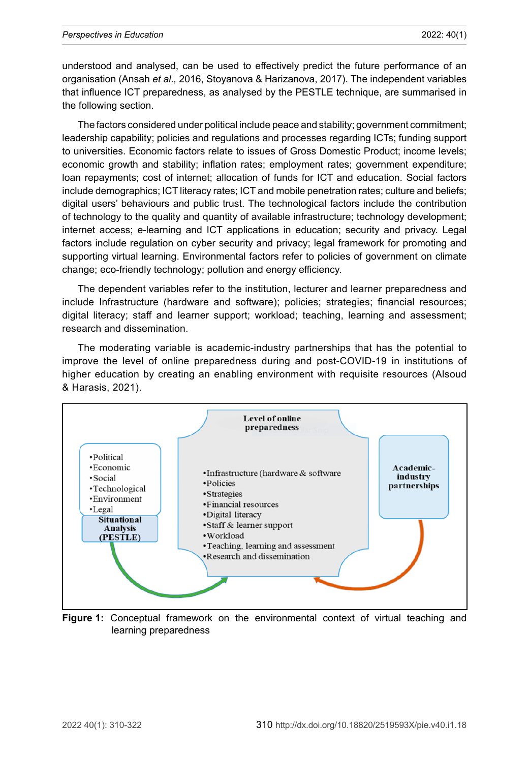understood and analysed, can be used to effectively predict the future performance of an organisation (Ansah *et al.,* 2016, Stoyanova & Harizanova, 2017). The independent variables that influence ICT preparedness, as analysed by the PESTLE technique, are summarised in the following section.

The factors considered under political include peace and stability; government commitment; leadership capability; policies and regulations and processes regarding ICTs; funding support to universities. Economic factors relate to issues of Gross Domestic Product; income levels; economic growth and stability; inflation rates; employment rates; government expenditure; loan repayments; cost of internet; allocation of funds for ICT and education. Social factors include demographics; ICT literacy rates; ICT and mobile penetration rates; culture and beliefs; digital users' behaviours and public trust. The technological factors include the contribution of technology to the quality and quantity of available infrastructure; technology development; internet access; e-learning and ICT applications in education; security and privacy. Legal factors include regulation on cyber security and privacy; legal framework for promoting and supporting virtual learning. Environmental factors refer to policies of government on climate change; eco-friendly technology; pollution and energy efficiency.

The dependent variables refer to the institution, lecturer and learner preparedness and include Infrastructure (hardware and software); policies; strategies; financial resources; digital literacy; staff and learner support; workload; teaching, learning and assessment; research and dissemination.

The moderating variable is academic-industry partnerships that has the potential to improve the level of online preparedness during and post-COVID-19 in institutions of higher education by creating an enabling environment with requisite resources (Alsoud & Harasis, 2021).



**Figure 1:** Conceptual framework on the environmental context of virtual teaching and learning preparedness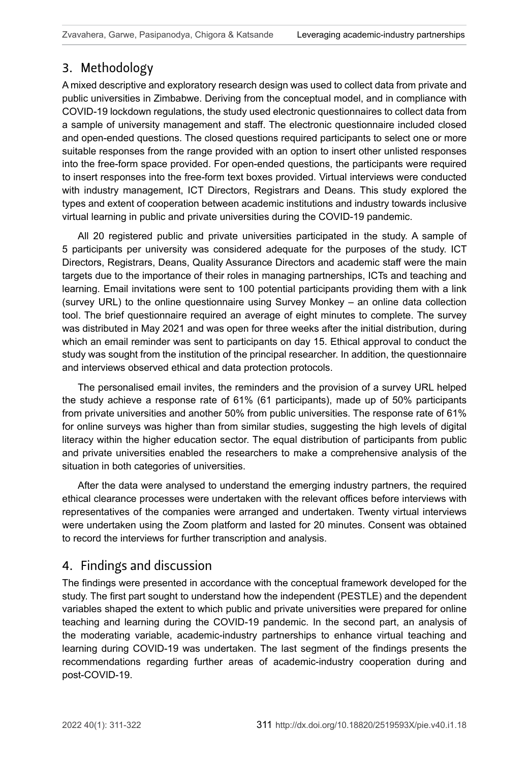# 3. Methodology

A mixed descriptive and exploratory research design was used to collect data from private and public universities in Zimbabwe. Deriving from the conceptual model, and in compliance with COVID-19 lockdown regulations, the study used electronic questionnaires to collect data from a sample of university management and staff. The electronic questionnaire included closed and open-ended questions. The closed questions required participants to select one or more suitable responses from the range provided with an option to insert other unlisted responses into the free-form space provided. For open-ended questions, the participants were required to insert responses into the free-form text boxes provided. Virtual interviews were conducted with industry management, ICT Directors, Registrars and Deans. This study explored the types and extent of cooperation between academic institutions and industry towards inclusive virtual learning in public and private universities during the COVID-19 pandemic.

All 20 registered public and private universities participated in the study. A sample of 5 participants per university was considered adequate for the purposes of the study. ICT Directors, Registrars, Deans, Quality Assurance Directors and academic staff were the main targets due to the importance of their roles in managing partnerships, ICTs and teaching and learning. Email invitations were sent to 100 potential participants providing them with a link (survey URL) to the online questionnaire using Survey Monkey – an online data collection tool. The brief questionnaire required an average of eight minutes to complete. The survey was distributed in May 2021 and was open for three weeks after the initial distribution, during which an email reminder was sent to participants on day 15. Ethical approval to conduct the study was sought from the institution of the principal researcher. In addition, the questionnaire and interviews observed ethical and data protection protocols.

The personalised email invites, the reminders and the provision of a survey URL helped the study achieve a response rate of 61% (61 participants), made up of 50% participants from private universities and another 50% from public universities. The response rate of 61% for online surveys was higher than from similar studies, suggesting the high levels of digital literacy within the higher education sector. The equal distribution of participants from public and private universities enabled the researchers to make a comprehensive analysis of the situation in both categories of universities.

After the data were analysed to understand the emerging industry partners, the required ethical clearance processes were undertaken with the relevant offices before interviews with representatives of the companies were arranged and undertaken. Twenty virtual interviews were undertaken using the Zoom platform and lasted for 20 minutes. Consent was obtained to record the interviews for further transcription and analysis.

# 4. Findings and discussion

The findings were presented in accordance with the conceptual framework developed for the study. The first part sought to understand how the independent (PESTLE) and the dependent variables shaped the extent to which public and private universities were prepared for online teaching and learning during the COVID-19 pandemic. In the second part, an analysis of the moderating variable, academic-industry partnerships to enhance virtual teaching and learning during COVID-19 was undertaken. The last segment of the findings presents the recommendations regarding further areas of academic-industry cooperation during and post-COVID-19.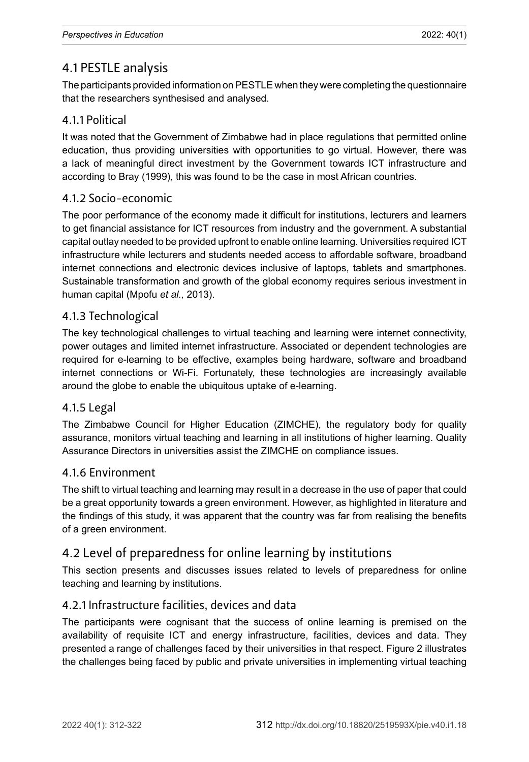# 4.1 PESTLE analysis

The participants provided information on PESTLE when they were completing the questionnaire that the researchers synthesised and analysed.

## 4.1.1 Political

It was noted that the Government of Zimbabwe had in place regulations that permitted online education, thus providing universities with opportunities to go virtual. However, there was a lack of meaningful direct investment by the Government towards ICT infrastructure and according to Bray (1999), this was found to be the case in most African countries.

#### 4.1.2 Socio-economic

The poor performance of the economy made it difficult for institutions, lecturers and learners to get financial assistance for ICT resources from industry and the government. A substantial capital outlay needed to be provided upfront to enable online learning. Universities required ICT infrastructure while lecturers and students needed access to affordable software, broadband internet connections and electronic devices inclusive of laptops, tablets and smartphones. Sustainable transformation and growth of the global economy requires serious investment in human capital (Mpofu *et al.,* 2013).

## 4.1.3 Technological

The key technological challenges to virtual teaching and learning were internet connectivity, power outages and limited internet infrastructure. Associated or dependent technologies are required for e-learning to be effective, examples being hardware, software and broadband internet connections or Wi-Fi. Fortunately, these technologies are increasingly available around the globe to enable the ubiquitous uptake of e-learning.

#### 4.1.5 Legal

The Zimbabwe Council for Higher Education (ZIMCHE), the regulatory body for quality assurance, monitors virtual teaching and learning in all institutions of higher learning. Quality Assurance Directors in universities assist the ZIMCHE on compliance issues.

#### 4.1.6 Environment

The shift to virtual teaching and learning may result in a decrease in the use of paper that could be a great opportunity towards a green environment. However, as highlighted in literature and the findings of this study, it was apparent that the country was far from realising the benefits of a green environment.

## 4.2 Level of preparedness for online learning by institutions

This section presents and discusses issues related to levels of preparedness for online teaching and learning by institutions.

#### 4.2.1 Infrastructure facilities, devices and data

The participants were cognisant that the success of online learning is premised on the availability of requisite ICT and energy infrastructure, facilities, devices and data. They presented a range of challenges faced by their universities in that respect. Figure 2 illustrates the challenges being faced by public and private universities in implementing virtual teaching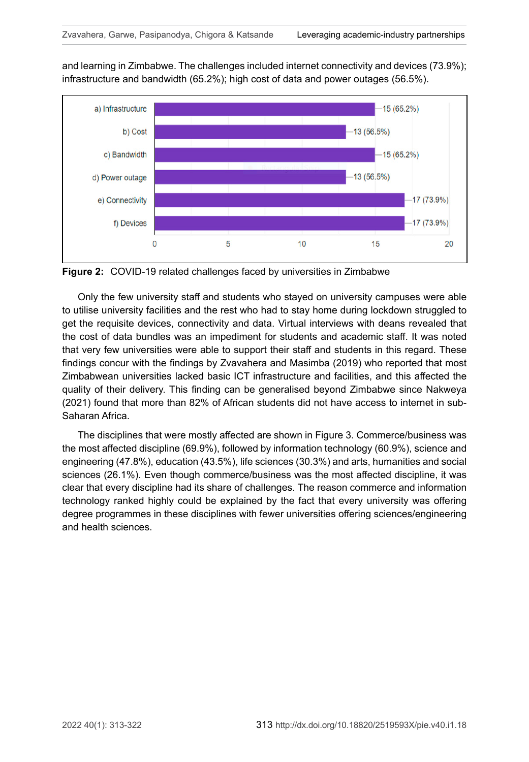and learning in Zimbabwe. The challenges included internet connectivity and devices (73.9%); infrastructure and bandwidth (65.2%); high cost of data and power outages (56.5%).



**Figure 2:** COVID-19 related challenges faced by universities in Zimbabwe

Only the few university staff and students who stayed on university campuses were able to utilise university facilities and the rest who had to stay home during lockdown struggled to get the requisite devices, connectivity and data. Virtual interviews with deans revealed that the cost of data bundles was an impediment for students and academic staff. It was noted that very few universities were able to support their staff and students in this regard. These findings concur with the findings by Zvavahera and Masimba (2019) who reported that most Zimbabwean universities lacked basic ICT infrastructure and facilities, and this affected the quality of their delivery. This finding can be generalised beyond Zimbabwe since Nakweya (2021) found that more than 82% of African students did not have access to internet in sub-Saharan Africa.

The disciplines that were mostly affected are shown in Figure 3. Commerce/business was the most affected discipline (69.9%), followed by information technology (60.9%), science and engineering (47.8%), education (43.5%), life sciences (30.3%) and arts, humanities and social sciences (26.1%). Even though commerce/business was the most affected discipline, it was clear that every discipline had its share of challenges. The reason commerce and information technology ranked highly could be explained by the fact that every university was offering degree programmes in these disciplines with fewer universities offering sciences/engineering and health sciences.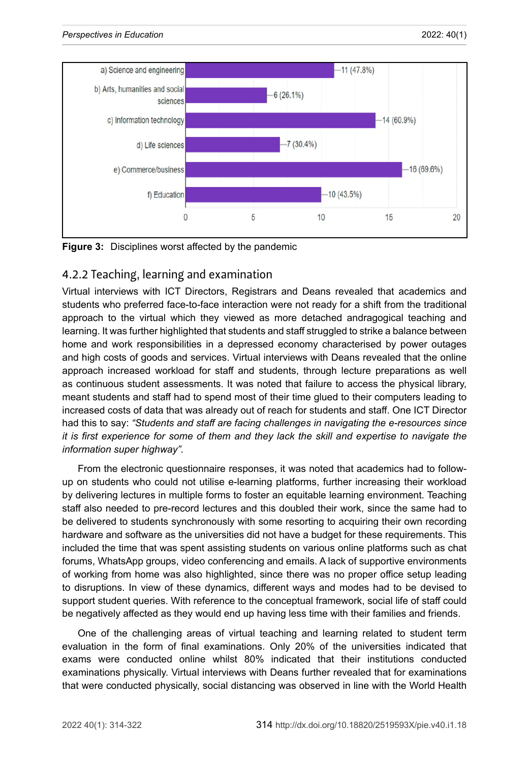

**Figure 3:** Disciplines worst affected by the pandemic

## 4.2.2 Teaching, learning and examination

Virtual interviews with ICT Directors, Registrars and Deans revealed that academics and students who preferred face-to-face interaction were not ready for a shift from the traditional approach to the virtual which they viewed as more detached andragogical teaching and learning. It was further highlighted that students and staff struggled to strike a balance between home and work responsibilities in a depressed economy characterised by power outages and high costs of goods and services. Virtual interviews with Deans revealed that the online approach increased workload for staff and students, through lecture preparations as well as continuous student assessments. It was noted that failure to access the physical library, meant students and staff had to spend most of their time glued to their computers leading to increased costs of data that was already out of reach for students and staff. One ICT Director had this to say: *"Students and staff are facing challenges in navigating the e-resources since it is first experience for some of them and they lack the skill and expertise to navigate the information super highway".* 

From the electronic questionnaire responses, it was noted that academics had to followup on students who could not utilise e-learning platforms, further increasing their workload by delivering lectures in multiple forms to foster an equitable learning environment. Teaching staff also needed to pre-record lectures and this doubled their work, since the same had to be delivered to students synchronously with some resorting to acquiring their own recording hardware and software as the universities did not have a budget for these requirements. This included the time that was spent assisting students on various online platforms such as chat forums, WhatsApp groups, video conferencing and emails. A lack of supportive environments of working from home was also highlighted, since there was no proper office setup leading to disruptions. In view of these dynamics, different ways and modes had to be devised to support student queries. With reference to the conceptual framework, social life of staff could be negatively affected as they would end up having less time with their families and friends.

One of the challenging areas of virtual teaching and learning related to student term evaluation in the form of final examinations. Only 20% of the universities indicated that exams were conducted online whilst 80% indicated that their institutions conducted examinations physically. Virtual interviews with Deans further revealed that for examinations that were conducted physically, social distancing was observed in line with the World Health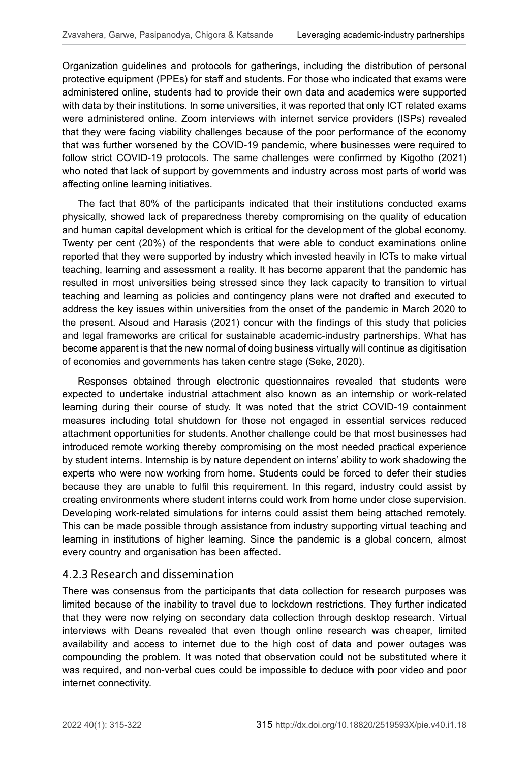Organization guidelines and protocols for gatherings, including the distribution of personal protective equipment (PPEs) for staff and students. For those who indicated that exams were administered online, students had to provide their own data and academics were supported with data by their institutions. In some universities, it was reported that only ICT related exams were administered online. Zoom interviews with internet service providers (ISPs) revealed that they were facing viability challenges because of the poor performance of the economy that was further worsened by the COVID-19 pandemic, where businesses were required to follow strict COVID-19 protocols. The same challenges were confirmed by [Kigotho](https://www.universityworldnews.com/fullsearch.php?mode=search&writer=Wachira+Kigotho) (2021) who noted that lack of support by governments and industry across most parts of world was affecting online learning initiatives.

The fact that 80% of the participants indicated that their institutions conducted exams physically, showed lack of preparedness thereby compromising on the quality of education and human capital development which is critical for the development of the global economy. Twenty per cent (20%) of the respondents that were able to conduct examinations online reported that they were supported by industry which invested heavily in ICTs to make virtual teaching, learning and assessment a reality. It has become apparent that the pandemic has resulted in most universities being stressed since they lack capacity to transition to virtual teaching and learning as policies and contingency plans were not drafted and executed to address the key issues within universities from the onset of the pandemic in March 2020 to the present. Alsoud and Harasis (2021) concur with the findings of this study that policies and legal frameworks are critical for sustainable academic-industry partnerships. What has become apparent is that the new normal of doing business virtually will continue as digitisation of economies and governments has taken centre stage (Seke, 2020).

Responses obtained through electronic questionnaires revealed that students were expected to undertake industrial attachment also known as an internship or work-related learning during their course of study. It was noted that the strict COVID-19 containment measures including total shutdown for those not engaged in essential services reduced attachment opportunities for students. Another challenge could be that most businesses had introduced remote working thereby compromising on the most needed practical experience by student interns. Internship is by nature dependent on interns' ability to work shadowing the experts who were now working from home. Students could be forced to defer their studies because they are unable to fulfil this requirement. In this regard, industry could assist by creating environments where student interns could work from home under close supervision. Developing work-related simulations for interns could assist them being attached remotely. This can be made possible through assistance from industry supporting virtual teaching and learning in institutions of higher learning. Since the pandemic is a global concern, almost every country and organisation has been affected.

#### 4.2.3 Research and dissemination

There was consensus from the participants that data collection for research purposes was limited because of the inability to travel due to lockdown restrictions. They further indicated that they were now relying on secondary data collection through desktop research. Virtual interviews with Deans revealed that even though online research was cheaper, limited availability and access to internet due to the high cost of data and power outages was compounding the problem. It was noted that observation could not be substituted where it was required, and non-verbal cues could be impossible to deduce with poor video and poor internet connectivity.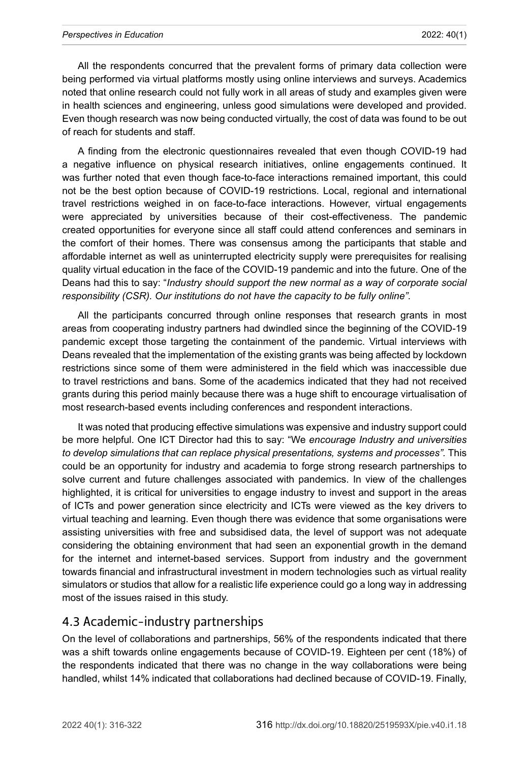#### *Perspectives in Education* 2022: 40(1)

All the respondents concurred that the prevalent forms of primary data collection were being performed via virtual platforms mostly using online interviews and surveys. Academics noted that online research could not fully work in all areas of study and examples given were in health sciences and engineering, unless good simulations were developed and provided. Even though research was now being conducted virtually, the cost of data was found to be out of reach for students and staff.

A finding from the electronic questionnaires revealed that even though COVID-19 had a negative influence on physical research initiatives, online engagements continued. It was further noted that even though face-to-face interactions remained important, this could not be the best option because of COVID-19 restrictions. Local, regional and international travel restrictions weighed in on face-to-face interactions. However, virtual engagements were appreciated by universities because of their cost-effectiveness. The pandemic created opportunities for everyone since all staff could attend conferences and seminars in the comfort of their homes. There was consensus among the participants that stable and affordable internet as well as uninterrupted electricity supply were prerequisites for realising quality virtual education in the face of the COVID-19 pandemic and into the future. One of the Deans had this to say: "*Industry should support the new normal as a way of corporate social responsibility (CSR). Our institutions do not have the capacity to be fully online".*

All the participants concurred through online responses that research grants in most areas from cooperating industry partners had dwindled since the beginning of the COVID-19 pandemic except those targeting the containment of the pandemic. Virtual interviews with Deans revealed that the implementation of the existing grants was being affected by lockdown restrictions since some of them were administered in the field which was inaccessible due to travel restrictions and bans. Some of the academics indicated that they had not received grants during this period mainly because there was a huge shift to encourage virtualisation of most research-based events including conferences and respondent interactions.

It was noted that producing effective simulations was expensive and industry support could be more helpful. One ICT Director had this to say: "We *encourage Industry and universities to develop simulations that can replace physical presentations, systems and processes".* This could be an opportunity for industry and academia to forge strong research partnerships to solve current and future challenges associated with pandemics. In view of the challenges highlighted, it is critical for universities to engage industry to invest and support in the areas of ICTs and power generation since electricity and ICTs were viewed as the key drivers to virtual teaching and learning. Even though there was evidence that some organisations were assisting universities with free and subsidised data, the level of support was not adequate considering the obtaining environment that had seen an exponential growth in the demand for the internet and internet-based services. Support from industry and the government towards financial and infrastructural investment in modern technologies such as virtual reality simulators or studios that allow for a realistic life experience could go a long way in addressing most of the issues raised in this study.

## 4.3 Academic-industry partnerships

On the level of collaborations and partnerships, 56% of the respondents indicated that there was a shift towards online engagements because of COVID-19. Eighteen per cent (18%) of the respondents indicated that there was no change in the way collaborations were being handled, whilst 14% indicated that collaborations had declined because of COVID-19. Finally,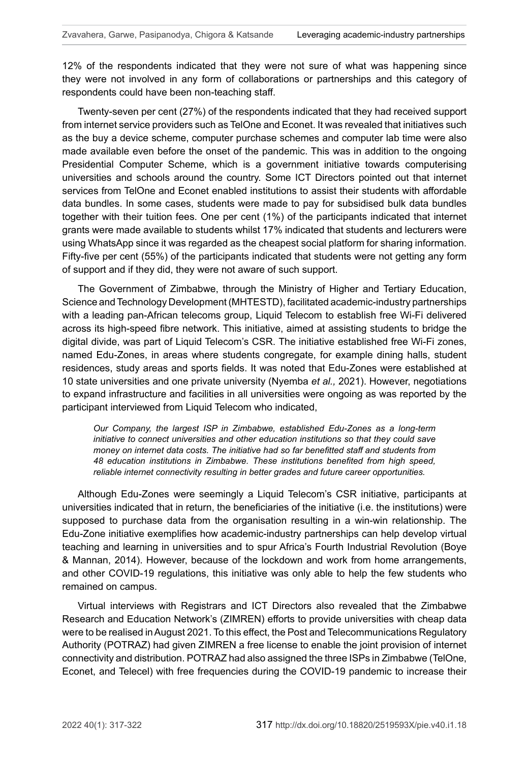12% of the respondents indicated that they were not sure of what was happening since they were not involved in any form of collaborations or partnerships and this category of respondents could have been non-teaching staff.

Twenty-seven per cent (27%) of the respondents indicated that they had received support from internet service providers such as TelOne and Econet. It was revealed that initiatives such as the buy a device scheme, computer purchase schemes and computer lab time were also made available even before the onset of the pandemic. This was in addition to the ongoing Presidential Computer Scheme, which is a government initiative towards computerising universities and schools around the country. Some ICT Directors pointed out that internet services from TelOne and Econet enabled institutions to assist their students with affordable data bundles. In some cases, students were made to pay for subsidised bulk data bundles together with their tuition fees. One per cent (1%) of the participants indicated that internet grants were made available to students whilst 17% indicated that students and lecturers were using WhatsApp since it was regarded as the cheapest social platform for sharing information. Fifty-five per cent (55%) of the participants indicated that students were not getting any form of support and if they did, they were not aware of such support.

The Government of Zimbabwe, through the Ministry of Higher and Tertiary Education, Science and Technology Development (MHTESTD), facilitated academic-industry partnerships with a leading pan-African telecoms group, Liquid Telecom to establish free Wi-Fi delivered across its high-speed fibre network. This initiative, aimed at assisting students to bridge the digital divide, was part of Liquid Telecom's CSR. The initiative established free Wi-Fi zones, named Edu-Zones, in areas where students congregate, for example dining halls, student residences, study areas and sports fields. It was noted that Edu-Zones were established at 10 state universities and one private university (Nyemba *et al.,* 2021). However, negotiations to expand infrastructure and facilities in all universities were ongoing as was reported by the participant interviewed from Liquid Telecom who indicated,

*Our Company, the largest ISP in Zimbabwe, established Edu-Zones as a long-term initiative to connect universities and other education institutions so that they could save money on internet data costs. The initiative had so far benefitted staff and students from 48 education institutions in Zimbabwe. These institutions benefited from high speed, reliable internet connectivity resulting in better grades and future career opportunities.*

Although Edu-Zones were seemingly a Liquid Telecom's CSR initiative, participants at universities indicated that in return, the beneficiaries of the initiative (i.e. the institutions) were supposed to purchase data from the organisation resulting in a win-win relationship. The Edu-Zone initiative exemplifies how academic-industry partnerships can help develop virtual teaching and learning in universities and to spur Africa's Fourth Industrial Revolution (Boye & Mannan, 2014). However, because of the lockdown and work from home arrangements, and other COVID-19 regulations, this initiative was only able to help the few students who remained on campus.

Virtual interviews with Registrars and ICT Directors also revealed that the Zimbabwe Research and Education Network's (ZIMREN) efforts to provide universities with cheap data were to be realised in August 2021. To this effect, the Post and Telecommunications Regulatory Authority (POTRAZ) had given ZIMREN a free license to enable the joint provision of internet connectivity and distribution. POTRAZ had also assigned the three ISPs in Zimbabwe (TelOne, Econet, and Telecel) with free frequencies during the COVID-19 pandemic to increase their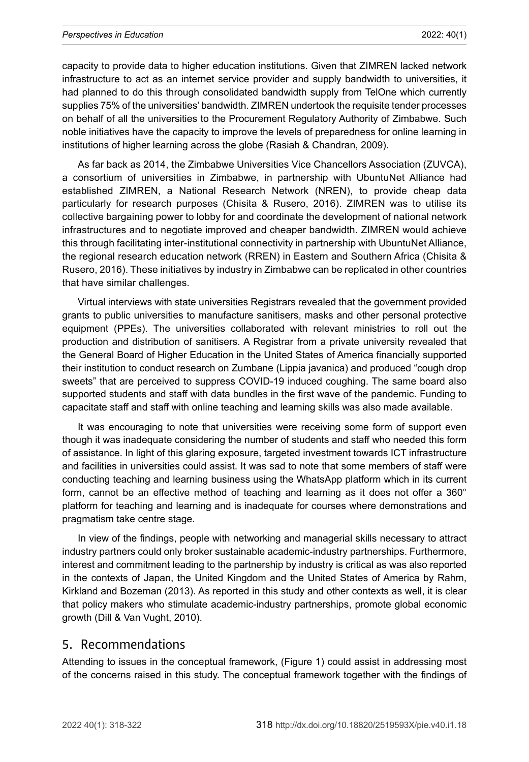capacity to provide data to higher education institutions. Given that ZIMREN lacked network infrastructure to act as an internet service provider and supply bandwidth to universities, it had planned to do this through consolidated bandwidth supply from TelOne which currently supplies 75% of the universities' bandwidth. ZIMREN undertook the requisite tender processes on behalf of all the universities to the Procurement Regulatory Authority of Zimbabwe. Such noble initiatives have the capacity to improve the levels of preparedness for online learning in institutions of higher learning across the globe (Rasiah & Chandran, 2009).

As far back as 2014, the Zimbabwe Universities Vice Chancellors Association (ZUVCA), a consortium of universities in Zimbabwe, in partnership with UbuntuNet Alliance had established ZIMREN, a National Research Network (NREN), to provide cheap data particularly for research purposes (Chisita & Rusero, 2016). ZIMREN was to utilise its collective bargaining power to lobby for and coordinate the development of national network infrastructures and to negotiate improved and cheaper bandwidth. ZIMREN would achieve this through facilitating inter-institutional connectivity in partnership with UbuntuNet Alliance, the regional research education network (RREN) in Eastern and Southern Africa (Chisita & Rusero, 2016). These initiatives by industry in Zimbabwe can be replicated in other countries that have similar challenges.

Virtual interviews with state universities Registrars revealed that the government provided grants to public universities to manufacture sanitisers, masks and other personal protective equipment (PPEs). The universities collaborated with relevant ministries to roll out the production and distribution of sanitisers. A Registrar from a private university revealed that the General Board of Higher Education in the United States of America financially supported their institution to conduct research on Zumbane (Lippia javanica) and produced "cough drop sweets" that are perceived to suppress COVID-19 induced coughing. The same board also supported students and staff with data bundles in the first wave of the pandemic. Funding to capacitate staff and staff with online teaching and learning skills was also made available.

It was encouraging to note that universities were receiving some form of support even though it was inadequate considering the number of students and staff who needed this form of assistance. In light of this glaring exposure, targeted investment towards ICT infrastructure and facilities in universities could assist. It was sad to note that some members of staff were conducting teaching and learning business using the WhatsApp platform which in its current form, cannot be an effective method of teaching and learning as it does not offer a 360° platform for teaching and learning and is inadequate for courses where demonstrations and pragmatism take centre stage.

In view of the findings, people with networking and managerial skills necessary to attract industry partners could only broker sustainable academic-industry partnerships. Furthermore, interest and commitment leading to the partnership by industry is critical as was also reported in the contexts of Japan, the United Kingdom and the United States of America by Rahm, Kirkland and Bozeman (2013). As reported in this study and other contexts as well, it is clear that policy makers who stimulate academic-industry partnerships, promote global economic growth (Dill & Van Vught, 2010).

#### 5. Recommendations

Attending to issues in the conceptual framework, (Figure 1) could assist in addressing most of the concerns raised in this study. The conceptual framework together with the findings of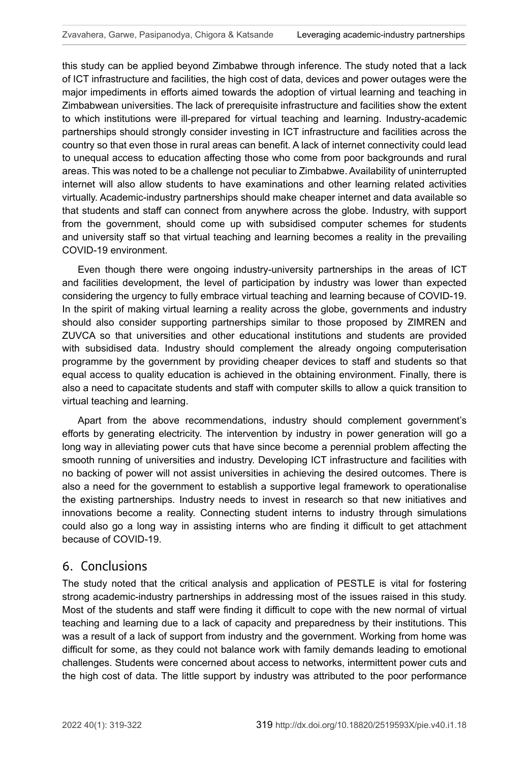this study can be applied beyond Zimbabwe through inference. The study noted that a lack of ICT infrastructure and facilities, the high cost of data, devices and power outages were the major impediments in efforts aimed towards the adoption of virtual learning and teaching in Zimbabwean universities. The lack of prerequisite infrastructure and facilities show the extent to which institutions were ill-prepared for virtual teaching and learning. Industry-academic partnerships should strongly consider investing in ICT infrastructure and facilities across the country so that even those in rural areas can benefit. A lack of internet connectivity could lead to unequal access to education affecting those who come from poor backgrounds and rural areas. This was noted to be a challenge not peculiar to Zimbabwe. Availability of uninterrupted internet will also allow students to have examinations and other learning related activities virtually. Academic-industry partnerships should make cheaper internet and data available so that students and staff can connect from anywhere across the globe. Industry, with support from the government, should come up with subsidised computer schemes for students and university staff so that virtual teaching and learning becomes a reality in the prevailing COVID-19 environment.

Even though there were ongoing industry-university partnerships in the areas of ICT and facilities development, the level of participation by industry was lower than expected considering the urgency to fully embrace virtual teaching and learning because of COVID-19. In the spirit of making virtual learning a reality across the globe, governments and industry should also consider supporting partnerships similar to those proposed by ZIMREN and ZUVCA so that universities and other educational institutions and students are provided with subsidised data. Industry should complement the already ongoing computerisation programme by the government by providing cheaper devices to staff and students so that equal access to quality education is achieved in the obtaining environment. Finally, there is also a need to capacitate students and staff with computer skills to allow a quick transition to virtual teaching and learning.

Apart from the above recommendations, industry should complement government's efforts by generating electricity. The intervention by industry in power generation will go a long way in alleviating power cuts that have since become a perennial problem affecting the smooth running of universities and industry. Developing ICT infrastructure and facilities with no backing of power will not assist universities in achieving the desired outcomes. There is also a need for the government to establish a supportive legal framework to operationalise the existing partnerships. Industry needs to invest in research so that new initiatives and innovations become a reality. Connecting student interns to industry through simulations could also go a long way in assisting interns who are finding it difficult to get attachment because of COVID-19.

#### 6. Conclusions

The study noted that the critical analysis and application of PESTLE is vital for fostering strong academic-industry partnerships in addressing most of the issues raised in this study. Most of the students and staff were finding it difficult to cope with the new normal of virtual teaching and learning due to a lack of capacity and preparedness by their institutions. This was a result of a lack of support from industry and the government. Working from home was difficult for some, as they could not balance work with family demands leading to emotional challenges. Students were concerned about access to networks, intermittent power cuts and the high cost of data. The little support by industry was attributed to the poor performance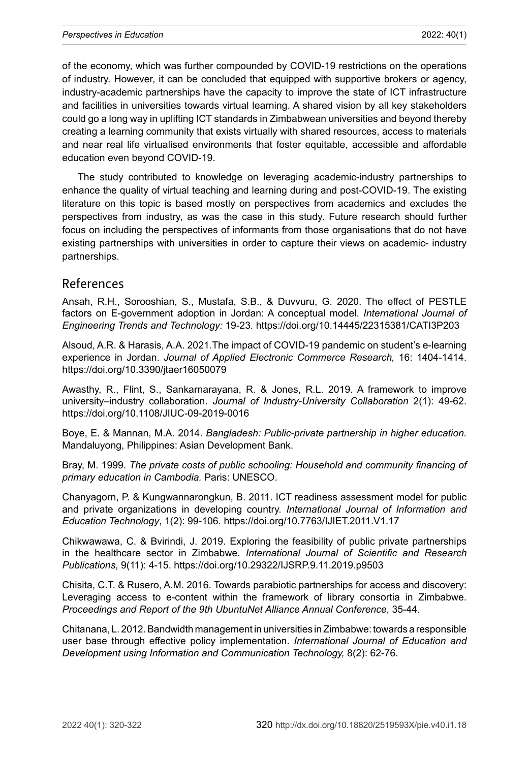of the economy, which was further compounded by COVID-19 restrictions on the operations of industry. However, it can be concluded that equipped with supportive brokers or agency, industry-academic partnerships have the capacity to improve the state of ICT infrastructure and facilities in universities towards virtual learning. A shared vision by all key stakeholders could go a long way in uplifting ICT standards in Zimbabwean universities and beyond thereby creating a learning community that exists virtually with shared resources, access to materials and near real life virtualised environments that foster equitable, accessible and affordable education even beyond COVID-19.

The study contributed to knowledge on leveraging academic-industry partnerships to enhance the quality of virtual teaching and learning during and post-COVID-19. The existing literature on this topic is based mostly on perspectives from academics and excludes the perspectives from industry, as was the case in this study. Future research should further focus on including the perspectives of informants from those organisations that do not have existing partnerships with universities in order to capture their views on academic- industry partnerships.

#### References

Ansah, R.H., Sorooshian, S., Mustafa, S.B., & Duvvuru, G. 2020. The effect of PESTLE factors on E-government adoption in Jordan: A conceptual model. *International Journal of Engineering Trends and Technology:* 19-23*.*<https://doi.org/10.14445/22315381/CATI3P203>

Alsoud, A.R. & Harasis, A.A. 2021.The impact of COVID-19 pandemic on student's e-learning experience in Jordan. *Journal of Applied Electronic Commerce Research,* 16: 1404-1414. <https://doi.org/10.3390/jtaer16050079>

Awasthy, R., Flint, S., Sankarnarayana, R. & Jones, R.L. 2019. A framework to improve university–industry collaboration. *Journal of Industry-University Collaboration* 2(1): 49-62. <https://doi.org/10.1108/JIUC-09-2019-0016>

Boye, E. & Mannan, M.A. 2014. *Bangladesh: Public-private partnership in higher education.* Mandaluyong, Philippines: Asian Development Bank.

Bray, M. 1999. *The private costs of public schooling: Household and community financing of primary education in Cambodia.* Paris: UNESCO.

Chanyagorn, P. & Kungwannarongkun, B. 2011. ICT readiness assessment model for public and private organizations in developing country. *International Journal of Information and Education Technology*, 1(2): 99-106. <https://doi.org/10.7763/IJIET.2011.V1.17>

Chikwawawa, C. & Bvirindi, J. 2019. Exploring the feasibility of public private partnerships in the healthcare sector in Zimbabwe. *International Journal of Scientific and Research Publications*, 9(11): 4-15. <https://doi.org/10.29322/IJSRP.9.11.2019.p9503>

Chisita, C.T. & Rusero, A.M. 2016. Towards parabiotic partnerships for access and discovery: Leveraging access to e-content within the framework of library consortia in Zimbabwe. *Proceedings and Report of the 9th UbuntuNet Alliance Annual Conference*, 35-44.

Chitanana, L. 2012. Bandwidth management in universities in Zimbabwe: towards a responsible user base through effective policy implementation. *International Journal of Education and Development using Information and Communication Technology,* 8(2): 62-76.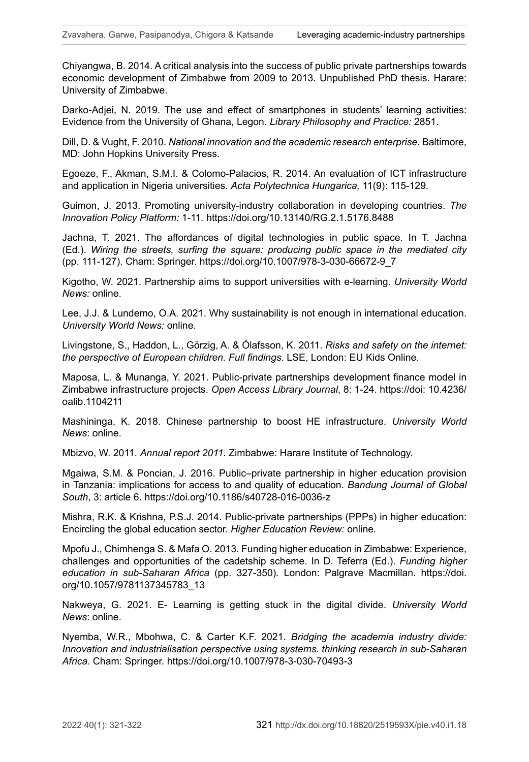Chiyangwa, B. 2014. A critical analysis into the success of public private partnerships towards economic development of Zimbabwe from 2009 to 2013. Unpublished PhD thesis. Harare: University of Zimbabwe.

Darko-Adjei, N. 2019. The use and effect of smartphones in students' learning activities: Evidence from the University of Ghana, Legon. *Library Philosophy and Practice:* 2851.

Dill, D. & Vught, F. 2010. *National innovation and the academic research enterprise*. Baltimore, MD: John Hopkins University Press.

Egoeze, F., Akman, S.M.I. & Colomo-Palacios, R. 2014. An evaluation of ICT infrastructure and application in Nigeria universities. *Acta Polytechnica Hungarica,* 11(9): 115-129*.*

Guimon, J. 2013. Promoting university-industry collaboration in developing countries. *The Innovation Policy Platform:* 1-11*.* <https://doi.org/10.13140/RG.2.1.5176.8488>

Jachna, T. 2021. The affordances of digital technologies in public space. In T. Jachna (Ed.). *Wiring the streets, surfing the square: producing public space in the mediated city*  (pp. 111-127). Cham: Springer. [https://doi.org/10.1007/978-3-030-66672-9\\_7](https://doi.org/10.1007/978-3-030-66672-9_7)

[Kigotho](https://www.universityworldnews.com/fullsearch.php?mode=search&writer=Wachira+Kigotho), W. 2021. Partnership aims to support universities with e-learning. *University World News:* online.

Lee, J.J. & Lundemo, O.A. 2021. Why sustainability is not enough in international education. *University World News:* online.

Livingstone, S., Haddon, L., Görzig, A. & Ólafsson, K. 2011. *Risks and safety on the internet: the perspective of European children. Full findings*. LSE, London: EU Kids Online.

Maposa, L. & Munanga, Y. 2021. Public-private partnerships development finance model in Zimbabwe infrastructure projects. *Open Access Library Journal*, 8: 1-24. https://doi: [10.4236/](https://doi.org/10.4236/oalib.1104211) [oalib.1104211](https://doi.org/10.4236/oalib.1104211)

[Mashininga,](https://www.universityworldnews.com/fullsearch.php?mode=search&writer=Kudzai+Mashininga) K. 2018. Chinese partnership to boost HE infrastructure. *University World News*: online.

Mbizvo, W. 2011. *Annual report 2011*. Zimbabwe: Harare Institute of Technology.

Mgaiwa, S.M. & Poncian, J. 2016. Public–private partnership in higher education provision in Tanzania: implications for access to and quality of education. *Bandung Journal of Global South*, 3: article 6. <https://doi.org/10.1186/s40728-016-0036-z>

Mishra, R.K. & Krishna, P.S.J. 2014. Public-private partnerships (PPPs) in higher education: Encircling the global education sector. *Higher Education Review:* online*.*

Mpofu J., Chimhenga S. & Mafa O. 2013. Funding higher education in Zimbabwe: Experience, challenges and opportunities of the cadetship scheme. In D. Teferra (Ed.). *Funding higher education in sub-Saharan Africa* (pp. 327-350)*.* London: Palgrave Macmillan. [https://doi.](https://doi.org/10.1057/9781137345783_13) [org/10.1057/9781137345783\\_13](https://doi.org/10.1057/9781137345783_13)

[Nakweya,](https://www.universityworldnews.com/fullsearch.php?mode=search&writer=Gilbert+Nakweya) G. 2021. E- Learning is getting stuck in the digital divide. *University World News*: online.

Nyemba, W.R., Mbohwa, C. & Carter K.F. 2021. *Bridging the academia industry divide: Innovation and industrialisation perspective using systems. thinking research in sub-Saharan Africa*. Cham: Springer.<https://doi.org/10.1007/978-3-030-70493-3>